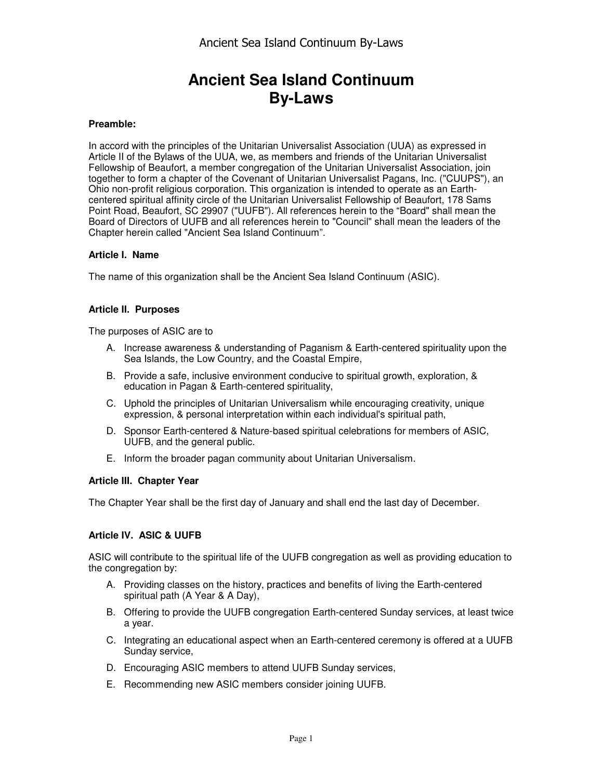# **Ancient Sea Island Continuum By-Laws**

### **Preamble:**

In accord with the principles of the Unitarian Universalist Association (UUA) as expressed in Article II of the Bylaws of the UUA, we, as members and friends of the Unitarian Universalist Fellowship of Beaufort, a member congregation of the Unitarian Universalist Association, join together to form a chapter of the Covenant of Unitarian Universalist Pagans, Inc. ("CUUPS"), an Ohio non-profit religious corporation. This organization is intended to operate as an Earthcentered spiritual affinity circle of the Unitarian Universalist Fellowship of Beaufort, 178 Sams Point Road, Beaufort, SC 29907 ("UUFB"). All references herein to the "Board" shall mean the Board of Directors of UUFB and all references herein to "Council" shall mean the leaders of the Chapter herein called "Ancient Sea Island Continuum".

#### **Article I. Name**

The name of this organization shall be the Ancient Sea Island Continuum (ASIC).

#### **Article II. Purposes**

The purposes of ASIC are to

- A. Increase awareness & understanding of Paganism & Earth-centered spirituality upon the Sea Islands, the Low Country, and the Coastal Empire,
- B. Provide a safe, inclusive environment conducive to spiritual growth, exploration, & education in Pagan & Earth-centered spirituality,
- C. Uphold the principles of Unitarian Universalism while encouraging creativity, unique expression, & personal interpretation within each individual's spiritual path,
- D. Sponsor Earth-centered & Nature-based spiritual celebrations for members of ASIC, UUFB, and the general public.
- E. Inform the broader pagan community about Unitarian Universalism.

#### **Article III. Chapter Year**

The Chapter Year shall be the first day of January and shall end the last day of December.

#### **Article IV. ASIC & UUFB**

ASIC will contribute to the spiritual life of the UUFB congregation as well as providing education to the congregation by:

- A. Providing classes on the history, practices and benefits of living the Earth-centered spiritual path (A Year & A Day),
- B. Offering to provide the UUFB congregation Earth-centered Sunday services, at least twice a year.
- C. Integrating an educational aspect when an Earth-centered ceremony is offered at a UUFB Sunday service,
- D. Encouraging ASIC members to attend UUFB Sunday services,
- E. Recommending new ASIC members consider joining UUFB.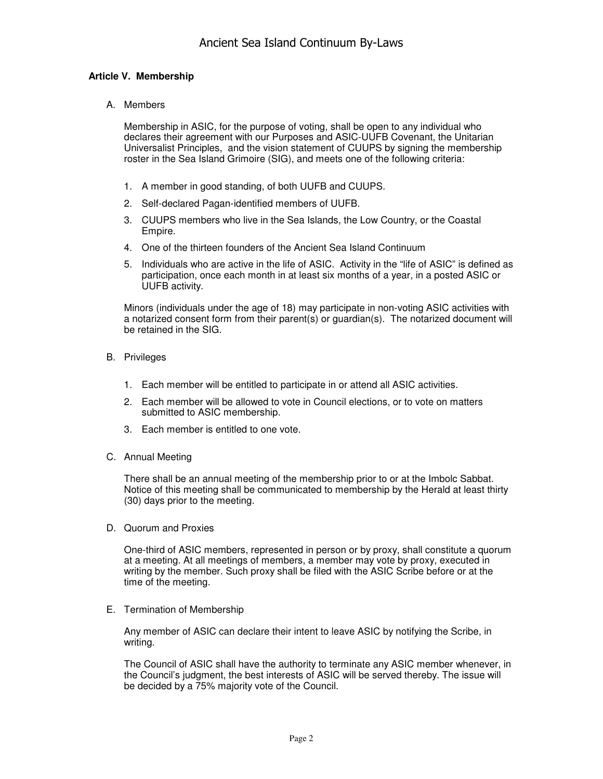## **Article V. Membership**

A. Members

Membership in ASIC, for the purpose of voting, shall be open to any individual who declares their agreement with our Purposes and ASIC-UUFB Covenant, the Unitarian Universalist Principles, and the vision statement of CUUPS by signing the membership roster in the Sea Island Grimoire (SIG), and meets one of the following criteria:

- 1. A member in good standing, of both UUFB and CUUPS.
- 2. Self-declared Pagan-identified members of UUFB.
- 3. CUUPS members who live in the Sea Islands, the Low Country, or the Coastal Empire.
- 4. One of the thirteen founders of the Ancient Sea Island Continuum
- 5. Individuals who are active in the life of ASIC. Activity in the "life of ASIC" is defined as participation, once each month in at least six months of a year, in a posted ASIC or UUFB activity.

Minors (individuals under the age of 18) may participate in non-voting ASIC activities with a notarized consent form from their parent(s) or guardian(s). The notarized document will be retained in the SIG.

- B. Privileges
	- 1. Each member will be entitled to participate in or attend all ASIC activities.
	- 2. Each member will be allowed to vote in Council elections, or to vote on matters submitted to ASIC membership.
	- 3. Each member is entitled to one vote.
- C. Annual Meeting

There shall be an annual meeting of the membership prior to or at the Imbolc Sabbat. Notice of this meeting shall be communicated to membership by the Herald at least thirty (30) days prior to the meeting.

D. Quorum and Proxies

One-third of ASIC members, represented in person or by proxy, shall constitute a quorum at a meeting. At all meetings of members, a member may vote by proxy, executed in writing by the member. Such proxy shall be filed with the ASIC Scribe before or at the time of the meeting.

E. Termination of Membership

Any member of ASIC can declare their intent to leave ASIC by notifying the Scribe, in writing.

The Council of ASIC shall have the authority to terminate any ASIC member whenever, in the Council's judgment, the best interests of ASIC will be served thereby. The issue will be decided by a 75% majority vote of the Council.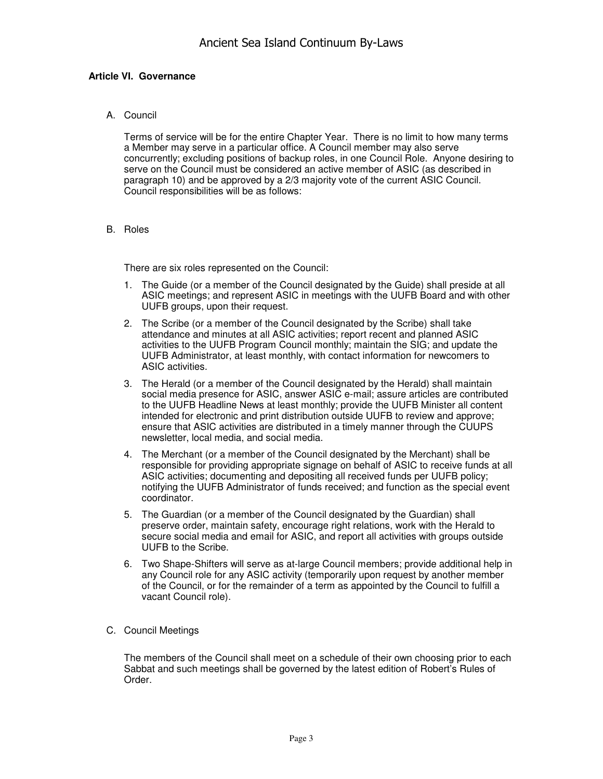## **Article VI. Governance**

A. Council

Terms of service will be for the entire Chapter Year. There is no limit to how many terms a Member may serve in a particular office. A Council member may also serve concurrently; excluding positions of backup roles, in one Council Role. Anyone desiring to serve on the Council must be considered an active member of ASIC (as described in paragraph 10) and be approved by a 2/3 majority vote of the current ASIC Council. Council responsibilities will be as follows:

B. Roles

There are six roles represented on the Council:

- 1. The Guide (or a member of the Council designated by the Guide) shall preside at all ASIC meetings; and represent ASIC in meetings with the UUFB Board and with other UUFB groups, upon their request.
- 2. The Scribe (or a member of the Council designated by the Scribe) shall take attendance and minutes at all ASIC activities; report recent and planned ASIC activities to the UUFB Program Council monthly; maintain the SIG; and update the UUFB Administrator, at least monthly, with contact information for newcomers to ASIC activities.
- 3. The Herald (or a member of the Council designated by the Herald) shall maintain social media presence for ASIC, answer ASIC e-mail; assure articles are contributed to the UUFB Headline News at least monthly; provide the UUFB Minister all content intended for electronic and print distribution outside UUFB to review and approve; ensure that ASIC activities are distributed in a timely manner through the CUUPS newsletter, local media, and social media.
- 4. The Merchant (or a member of the Council designated by the Merchant) shall be responsible for providing appropriate signage on behalf of ASIC to receive funds at all ASIC activities; documenting and depositing all received funds per UUFB policy; notifying the UUFB Administrator of funds received; and function as the special event coordinator.
- 5. The Guardian (or a member of the Council designated by the Guardian) shall preserve order, maintain safety, encourage right relations, work with the Herald to secure social media and email for ASIC, and report all activities with groups outside UUFB to the Scribe.
- 6. Two Shape-Shifters will serve as at-large Council members; provide additional help in any Council role for any ASIC activity (temporarily upon request by another member of the Council, or for the remainder of a term as appointed by the Council to fulfill a vacant Council role).
- C. Council Meetings

The members of the Council shall meet on a schedule of their own choosing prior to each Sabbat and such meetings shall be governed by the latest edition of Robert's Rules of Order.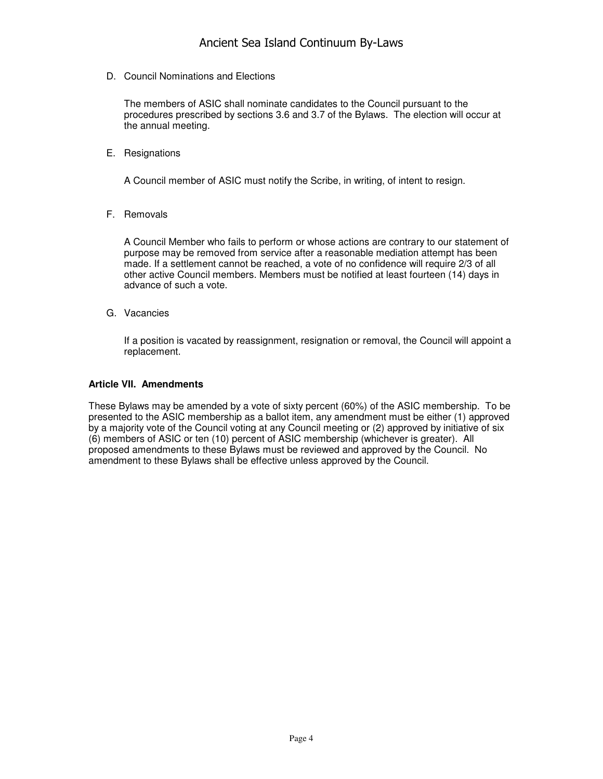D. Council Nominations and Elections

The members of ASIC shall nominate candidates to the Council pursuant to the procedures prescribed by sections 3.6 and 3.7 of the Bylaws. The election will occur at the annual meeting.

E. Resignations

A Council member of ASIC must notify the Scribe, in writing, of intent to resign.

F. Removals

A Council Member who fails to perform or whose actions are contrary to our statement of purpose may be removed from service after a reasonable mediation attempt has been made. If a settlement cannot be reached, a vote of no confidence will require 2/3 of all other active Council members. Members must be notified at least fourteen (14) days in advance of such a vote.

G. Vacancies

If a position is vacated by reassignment, resignation or removal, the Council will appoint a replacement.

#### **Article VII. Amendments**

These Bylaws may be amended by a vote of sixty percent (60%) of the ASIC membership. To be presented to the ASIC membership as a ballot item, any amendment must be either (1) approved by a majority vote of the Council voting at any Council meeting or (2) approved by initiative of six (6) members of ASIC or ten (10) percent of ASIC membership (whichever is greater). All proposed amendments to these Bylaws must be reviewed and approved by the Council. No amendment to these Bylaws shall be effective unless approved by the Council.